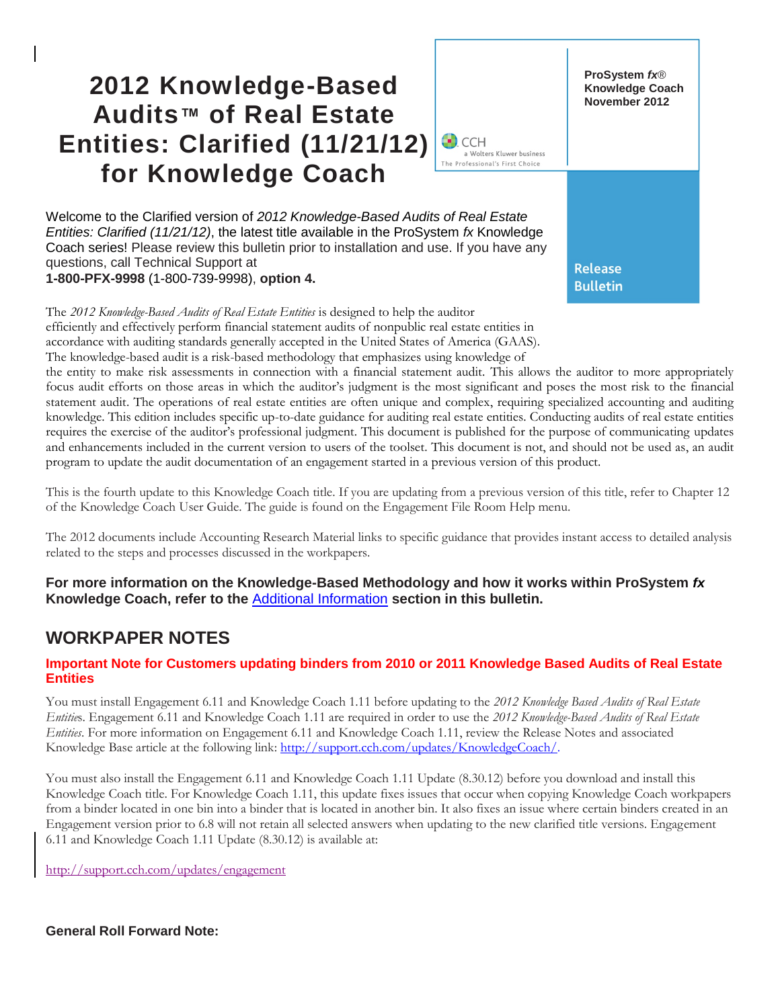# **2012 Knowledge-Based Audits™ of Real Estate Entities: Clarified (11/21/12) for Knowledge Coach**



Welcome to the Clarified version of *2012 Knowledge-Based Audits of Real Estate Entities: Clarified (11/21/12)*, the latest title available in the ProSystem *fx* Knowledge Coach series! Please review this bulletin prior to installation and use. If you have any questions, call Technical Support at **1-800-PFX-9998** (1-800-739-9998), **option 4.**

The *2012 Knowledge-Based Audits of Real Estate Entities* is designed to help the auditor efficiently and effectively perform financial statement audits of nonpublic real estate entities in

accordance with auditing standards generally accepted in the United States of America (GAAS).

The knowledge-based audit is a risk-based methodology that emphasizes using knowledge of

the entity to make risk assessments in connection with a financial statement audit. This allows the auditor to more appropriately focus audit efforts on those areas in which the auditor's judgment is the most significant and poses the most risk to the financial statement audit. The operations of real estate entities are often unique and complex, requiring specialized accounting and auditing knowledge. This edition includes specific up-to-date guidance for auditing real estate entities. Conducting audits of real estate entities requires the exercise of the auditor's professional judgment. This document is published for the purpose of communicating updates and enhancements included in the current version to users of the toolset. This document is not, and should not be used as, an audit program to update the audit documentation of an engagement started in a previous version of this product.

This is the fourth update to this Knowledge Coach title. If you are updating from a previous version of this title, refer to Chapter 12 of the Knowledge Coach User Guide. The guide is found on the Engagement File Room Help menu.

The 2012 documents include Accounting Research Material links to specific guidance that provides instant access to detailed analysis related to the steps and processes discussed in the workpapers.

**For more information on the Knowledge-Based Methodology and how it works within ProSystem** *fx* **Knowledge Coach, refer to the** [Additional Information](#page-2-0) **section in this bulletin.**

# **WORKPAPER NOTES**

#### **Important Note for Customers updating binders from 2010 or 2011 Knowledge Based Audits of Real Estate Entities**

You must install Engagement 6.11 and Knowledge Coach 1.11 before updating to the *2012 Knowledge Based Audits of Real Estate Entitie*s. Engagement 6.11 and Knowledge Coach 1.11 are required in order to use the *2012 Knowledge-Based Audits of Real Estate Entities*. For more information on Engagement 6.11 and Knowledge Coach 1.11, review the Release Notes and associated Knowledge Base article at the following link: [http://support.cch.com/updates/KnowledgeCoach/.](http://support.cch.com/updates/KnowledgeCoach/)

You must also install the Engagement 6.11 and Knowledge Coach 1.11 Update (8.30.12) before you download and install this Knowledge Coach title. For Knowledge Coach 1.11, this update fixes issues that occur when copying Knowledge Coach workpapers from a binder located in one bin into a binder that is located in another bin. It also fixes an issue where certain binders created in an Engagement version prior to 6.8 will not retain all selected answers when updating to the new clarified title versions. Engagement 6.11 and Knowledge Coach 1.11 Update (8.30.12) is available at:

http://support.cch.com/updates/engagement

**General Roll Forward Note:**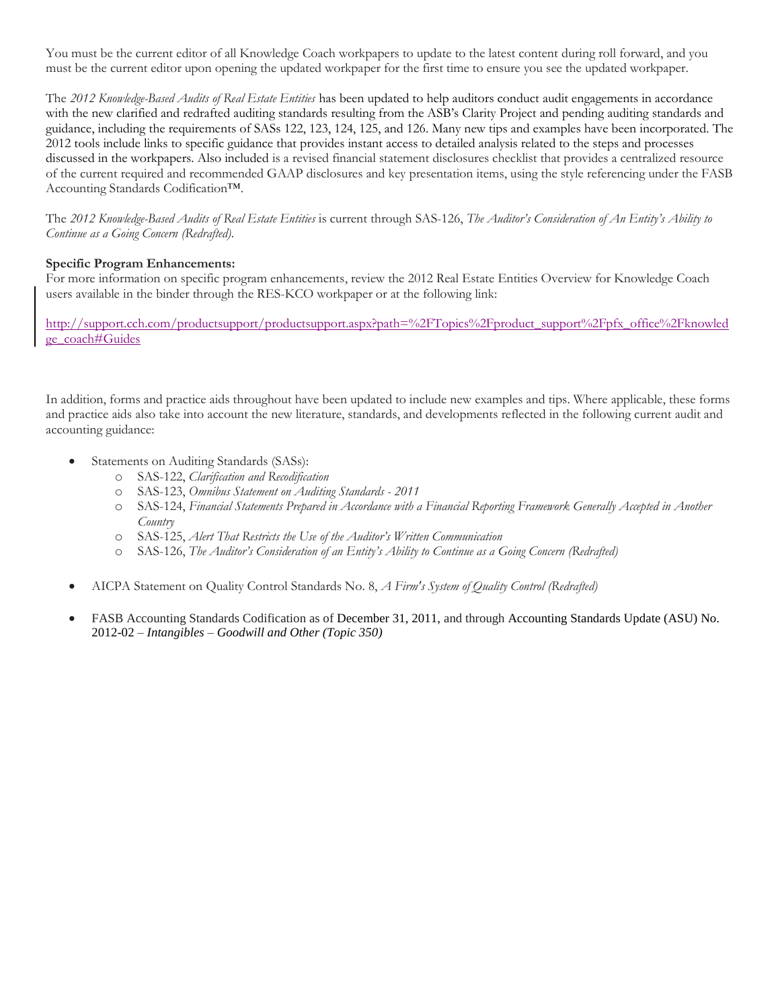You must be the current editor of all Knowledge Coach workpapers to update to the latest content during roll forward, and you must be the current editor upon opening the updated workpaper for the first time to ensure you see the updated workpaper.

The *2012 Knowledge-Based Audits of Real Estate Entities* has been updated to help auditors conduct audit engagements in accordance with the new clarified and redrafted auditing standards resulting from the ASB's Clarity Project and pending auditing standards and guidance, including the requirements of SASs 122, 123, 124, 125, and 126. Many new tips and examples have been incorporated. The 2012 tools include links to specific guidance that provides instant access to detailed analysis related to the steps and processes discussed in the workpapers. Also included is a revised financial statement disclosures checklist that provides a centralized resource of the current required and recommended GAAP disclosures and key presentation items, using the style referencing under the FASB Accounting Standards Codification™.

The *2012 Knowledge-Based Audits of Real Estate Entities* is current through SAS-126, *The Auditor's Consideration of An Entity's Ability to Continue as a Going Concern (Redrafted).*

#### **Specific Program Enhancements:**

For more information on specific program enhancements, review the 2012 Real Estate Entities Overview for Knowledge Coach users available in the binder through the RES-KCO workpaper or at the following link:

http://support.cch.com/productsupport/productsupport.aspx?path=%2FTopics%2Fproduct\_support%2Fpfx\_office%2Fknowled ge\_coach#Guides

In addition, forms and practice aids throughout have been updated to include new examples and tips. Where applicable, these forms and practice aids also take into account the new literature, standards, and developments reflected in the following current audit and accounting guidance:

- Statements on Auditing Standards (SASs):
	- o SAS-122, *Clarification and Recodification*
	- o SAS-123, *Omnibus Statement on Auditing Standards - 2011*
	- o SAS-124, *Financial Statements Prepared in Accordance with a Financial Reporting Framework Generally Accepted in Another Country*
	- o SAS-125, *Alert That Restricts the Use of the Auditor's Written Communication*
	- o SAS-126, *The Auditor's Consideration of an Entity's Ability to Continue as a Going Concern (Redrafted)*
- AICPA Statement on Quality Control Standards No. 8, *A Firm's System of Quality Control (Redrafted)*
- FASB Accounting Standards Codification as of December 31, 2011, and through Accounting Standards Update (ASU) No. 2012-02 – *Intangibles* – *Goodwill and Other (Topic 350)*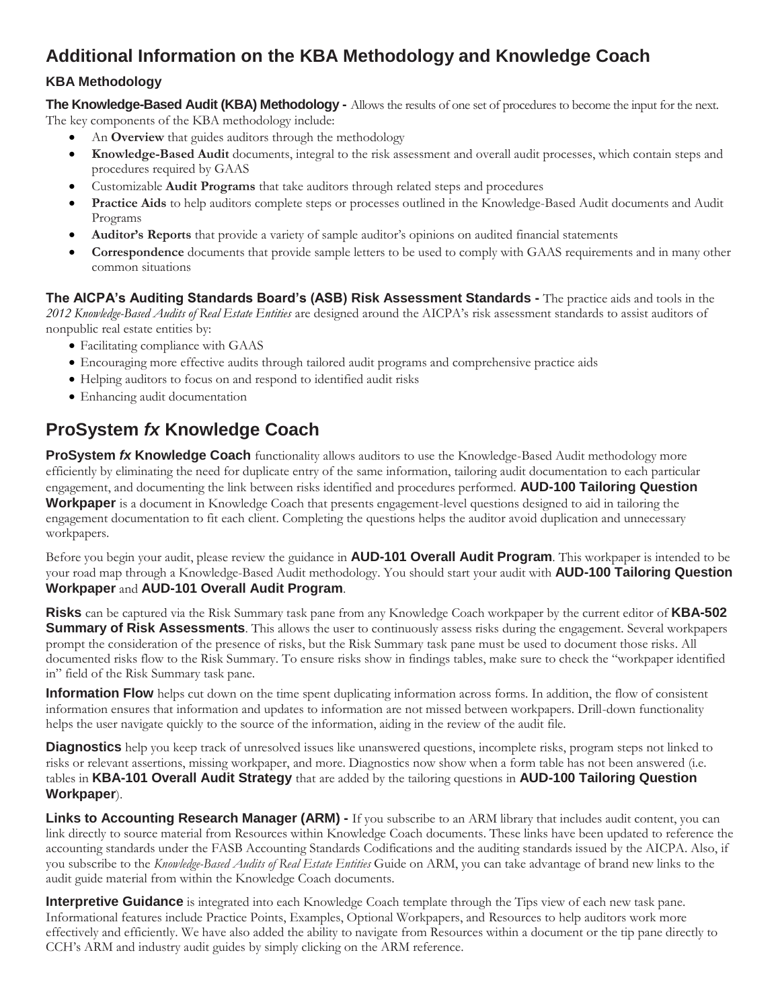# <span id="page-2-0"></span>**Additional Information on the KBA Methodology and Knowledge Coach**

### **KBA Methodology**

**The Knowledge-Based Audit (KBA) Methodology -** Allows the results of one set of procedures to become the input for the next. The key components of the KBA methodology include:

- An **Overview** that guides auditors through the methodology
- **Knowledge-Based Audit** documents, integral to the risk assessment and overall audit processes, which contain steps and procedures required by GAAS
- Customizable **Audit Programs** that take auditors through related steps and procedures
- **Practice Aids** to help auditors complete steps or processes outlined in the Knowledge-Based Audit documents and Audit Programs
- **Auditor's Reports** that provide a variety of sample auditor's opinions on audited financial statements
- **Correspondence** documents that provide sample letters to be used to comply with GAAS requirements and in many other common situations

**The AICPA's Auditing Standards Board's (ASB) Risk Assessment Standards -** The practice aids and tools in the *2012 Knowledge-Based Audits of Real Estate Entities* are designed around the AICPA's risk assessment standards to assist auditors of nonpublic real estate entities by:

- Facilitating compliance with GAAS
- Encouraging more effective audits through tailored audit programs and comprehensive practice aids
- Helping auditors to focus on and respond to identified audit risks
- Enhancing audit documentation

# **ProSystem** *fx* **Knowledge Coach**

**ProSystem** *fx* **Knowledge Coach** functionality allows auditors to use the Knowledge-Based Audit methodology more efficiently by eliminating the need for duplicate entry of the same information, tailoring audit documentation to each particular engagement, and documenting the link between risks identified and procedures performed. **AUD-100 Tailoring Question Workpaper** is a document in Knowledge Coach that presents engagement-level questions designed to aid in tailoring the engagement documentation to fit each client. Completing the questions helps the auditor avoid duplication and unnecessary workpapers.

Before you begin your audit, please review the guidance in **AUD-101 Overall Audit Program**. This workpaper is intended to be your road map through a Knowledge-Based Audit methodology. You should start your audit with **AUD-100 Tailoring Question Workpaper** and **AUD-101 Overall Audit Program**.

**Risks** can be captured via the Risk Summary task pane from any Knowledge Coach workpaper by the current editor of **KBA-502 Summary of Risk Assessments**. This allows the user to continuously assess risks during the engagement. Several workpapers prompt the consideration of the presence of risks, but the Risk Summary task pane must be used to document those risks. All documented risks flow to the Risk Summary. To ensure risks show in findings tables, make sure to check the "workpaper identified in" field of the Risk Summary task pane.

**Information Flow** helps cut down on the time spent duplicating information across forms. In addition, the flow of consistent information ensures that information and updates to information are not missed between workpapers. Drill-down functionality helps the user navigate quickly to the source of the information, aiding in the review of the audit file.

**Diagnostics** help you keep track of unresolved issues like unanswered questions, incomplete risks, program steps not linked to risks or relevant assertions, missing workpaper, and more. Diagnostics now show when a form table has not been answered (i.e. tables in **KBA-101 Overall Audit Strategy** that are added by the tailoring questions in **AUD-100 Tailoring Question Workpaper**).

**Links to Accounting Research Manager (ARM) -** If you subscribe to an ARM library that includes audit content, you can link directly to source material from Resources within Knowledge Coach documents. These links have been updated to reference the accounting standards under the FASB Accounting Standards Codifications and the auditing standards issued by the AICPA. Also, if you subscribe to the *Knowledge-Based Audits of Real Estate Entities* Guide on ARM, you can take advantage of brand new links to the audit guide material from within the Knowledge Coach documents.

**Interpretive Guidance** is integrated into each Knowledge Coach template through the Tips view of each new task pane. Informational features include Practice Points, Examples, Optional Workpapers, and Resources to help auditors work more effectively and efficiently. We have also added the ability to navigate from Resources within a document or the tip pane directly to CCH's ARM and industry audit guides by simply clicking on the ARM reference.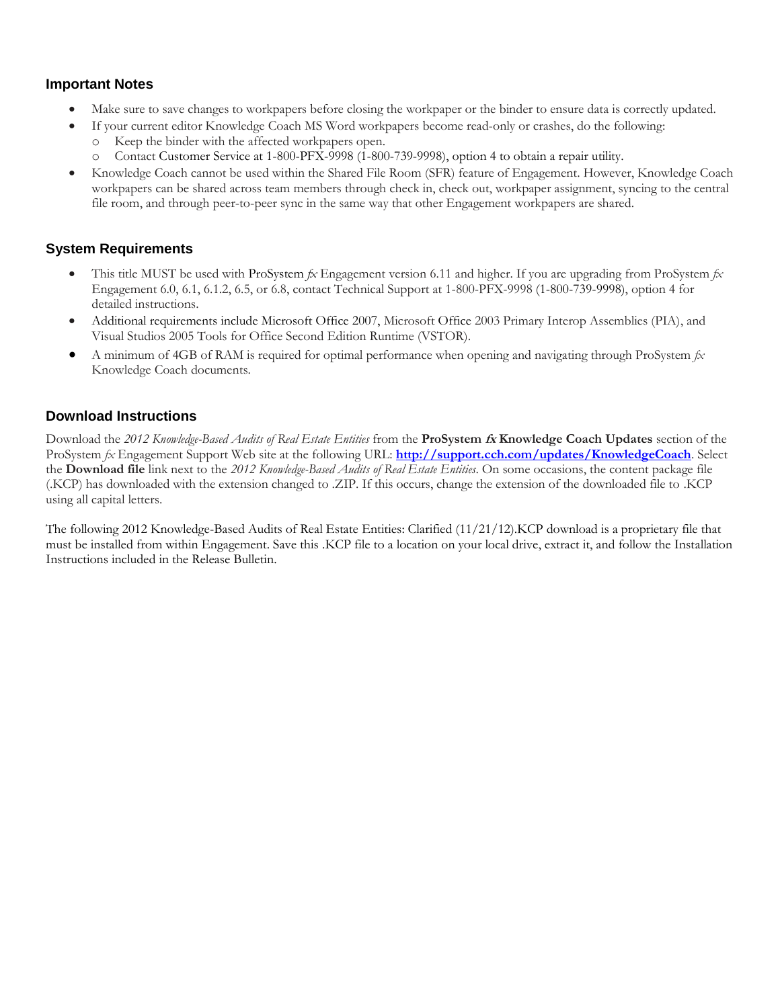#### **Important Notes**

- Make sure to save changes to workpapers before closing the workpaper or the binder to ensure data is correctly updated.
- If your current editor Knowledge Coach MS Word workpapers become read-only or crashes, do the following:
	- o Keep the binder with the affected workpapers open.
	- o Contact Customer Service at 1-800-PFX-9998 (1-800-739-9998), option 4 to obtain a repair utility.
- Knowledge Coach cannot be used within the Shared File Room (SFR) feature of Engagement. However, Knowledge Coach workpapers can be shared across team members through check in, check out, workpaper assignment, syncing to the central file room, and through peer-to-peer sync in the same way that other Engagement workpapers are shared.

#### **System Requirements**

- This title MUST be used with ProSystem *fx* Engagement version 6.11 and higher. If you are upgrading from ProSystem *fx*  Engagement 6.0, 6.1, 6.1.2, 6.5, or 6.8, contact Technical Support at 1-800-PFX-9998 (1-800-739-9998), option 4 for detailed instructions.
- Additional requirements include Microsoft Office 2007, Microsoft Office 2003 Primary Interop Assemblies (PIA), and Visual Studios 2005 Tools for Office Second Edition Runtime (VSTOR).
- A minimum of 4GB of RAM is required for optimal performance when opening and navigating through ProSystem *fx*  Knowledge Coach documents.

#### **Download Instructions**

Download the *2012 Knowledge-Based Audits of Real Estate Entities* from the **ProSystem fx Knowledge Coach Updates** section of the ProSystem *fx* Engagement Support Web site at the following URL: **<http://support.cch.com/updates/KnowledgeCoach>**. Select the **Download file** link next to the *2012 Knowledge-Based Audits of Real Estate Entities*. On some occasions, the content package file (.KCP) has downloaded with the extension changed to .ZIP. If this occurs, change the extension of the downloaded file to .KCP using all capital letters.

The following 2012 Knowledge-Based Audits of Real Estate Entities: Clarified (11/21/12).KCP download is a proprietary file that must be installed from within Engagement. Save this .KCP file to a location on your local drive, extract it, and follow the Installation Instructions included in the Release Bulletin.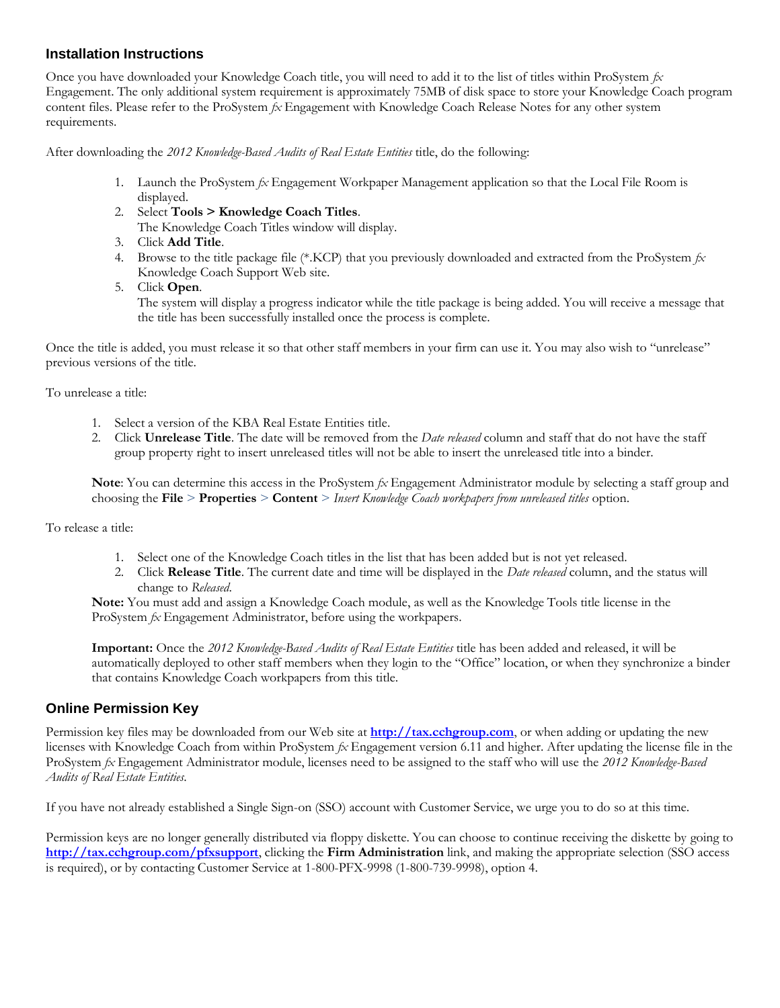#### **Installation Instructions**

Once you have downloaded your Knowledge Coach title, you will need to add it to the list of titles within ProSystem *fx*  Engagement. The only additional system requirement is approximately 75MB of disk space to store your Knowledge Coach program content files. Please refer to the ProSystem *fx* Engagement with Knowledge Coach Release Notes for any other system requirements.

After downloading the *2012 Knowledge-Based Audits of Real Estate Entities* title, do the following:

- 1. Launch the ProSystem *fx* Engagement Workpaper Management application so that the Local File Room is displayed.
- 2. Select **Tools > Knowledge Coach Titles**.
- The Knowledge Coach Titles window will display.
- 3. Click **Add Title**.
- 4. Browse to the title package file (\*.KCP) that you previously downloaded and extracted from the ProSystem *fx*  Knowledge Coach Support Web site.
- 5. Click **Open**.

The system will display a progress indicator while the title package is being added. You will receive a message that the title has been successfully installed once the process is complete.

Once the title is added, you must release it so that other staff members in your firm can use it. You may also wish to "unrelease" previous versions of the title.

To unrelease a title:

- 1. Select a version of the KBA Real Estate Entities title.
- 2. Click **Unrelease Title**. The date will be removed from the *Date released* column and staff that do not have the staff group property right to insert unreleased titles will not be able to insert the unreleased title into a binder.

**Note**: You can determine this access in the ProSystem *fx* Engagement Administrator module by selecting a staff group and choosing the **File** > **Properties** > **Content** > *Insert Knowledge Coach workpapers from unreleased titles* option.

To release a title:

- 1. Select one of the Knowledge Coach titles in the list that has been added but is not yet released.
- 2. Click **Release Title**. The current date and time will be displayed in the *Date released* column, and the status will change to *Released*.

**Note:** You must add and assign a Knowledge Coach module, as well as the Knowledge Tools title license in the ProSystem *fx* Engagement Administrator, before using the workpapers.

**Important:** Once the *2012 Knowledge-Based Audits of Real Estate Entities* title has been added and released, it will be automatically deployed to other staff members when they login to the "Office" location, or when they synchronize a binder that contains Knowledge Coach workpapers from this title.

#### **Online Permission Key**

Permission key files may be downloaded from our Web site at **[http://tax.cchgroup.com](http://tax.cchgroup.com/)**, or when adding or updating the new licenses with Knowledge Coach from within ProSystem *fx* Engagement version 6.11 and higher. After updating the license file in the ProSystem *fx* Engagement Administrator module, licenses need to be assigned to the staff who will use the *2012 Knowledge-Based Audits of Real Estate Entities*.

If you have not already established a Single Sign-on (SSO) account with Customer Service, we urge you to do so at this time.

Permission keys are no longer generally distributed via floppy diskette. You can choose to continue receiving the diskette by going to **<http://tax.cchgroup.com/pfxsupport>**, clicking the **Firm Administration** link, and making the appropriate selection (SSO access is required), or by contacting Customer Service at 1-800-PFX-9998 (1-800-739-9998), option 4.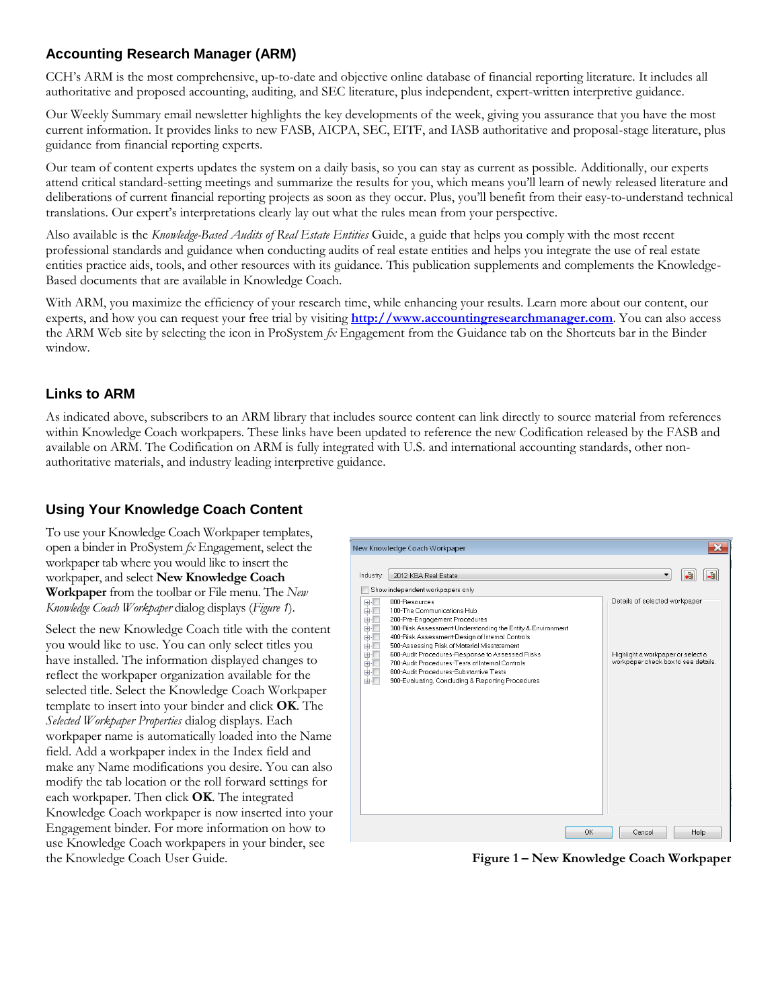## **Accounting Research Manager (ARM)**

CCH's ARM is the most comprehensive, up-to-date and objective online database of financial reporting literature. It includes all authoritative and proposed accounting, auditing, and SEC literature, plus independent, expert-written interpretive guidance.

Our Weekly Summary email newsletter highlights the key developments of the week, giving you assurance that you have the most current information. It provides links to new FASB, AICPA, SEC, EITF, and IASB authoritative and proposal-stage literature, plus guidance from financial reporting experts.

Our team of content experts updates the system on a daily basis, so you can stay as current as possible. Additionally, our experts attend critical standard-setting meetings and summarize the results for you, which means you'll learn of newly released literature and deliberations of current financial reporting projects as soon as they occur. Plus, you'll benefit from their easy-to-understand technical translations. Our expert's interpretations clearly lay out what the rules mean from your perspective.

Also available is the *Knowledge-Based Audits of Real Estate Entities* Guide, a guide that helps you comply with the most recent professional standards and guidance when conducting audits of real estate entities and helps you integrate the use of real estate entities practice aids, tools, and other resources with its guidance. This publication supplements and complements the Knowledge-Based documents that are available in Knowledge Coach.

With ARM, you maximize the efficiency of your research time, while enhancing your results. Learn more about our content, our experts, and how you can request your free trial by visiting **[http://www.accountingresearchmanager.com](http://www.accountingresearchmanager.com/)**. You can also access the ARM Web site by selecting the icon in ProSystem *fx* Engagement from the Guidance tab on the Shortcuts bar in the Binder window.

### **Links to ARM**

As indicated above, subscribers to an ARM library that includes source content can link directly to source material from references within Knowledge Coach workpapers. These links have been updated to reference the new Codification released by the FASB and available on ARM. The Codification on ARM is fully integrated with U.S. and international accounting standards, other nonauthoritative materials, and industry leading interpretive guidance.

### **Using Your Knowledge Coach Content**

To use your Knowledge Coach Workpaper templates, open a binder in ProSystem *fx* Engagement, select the workpaper tab where you would like to insert the workpaper, and select **New Knowledge Coach Workpaper** from the toolbar or File menu. The *New Knowledge Coach Workpaper* dialog displays (*Figure 1*).

Select the new Knowledge Coach title with the content you would like to use. You can only select titles you have installed. The information displayed changes to reflect the workpaper organization available for the selected title. Select the Knowledge Coach Workpaper template to insert into your binder and click **OK**. The *Selected Workpaper Properties* dialog displays. Each workpaper name is automatically loaded into the Name field. Add a workpaper index in the Index field and make any Name modifications you desire. You can also modify the tab location or the roll forward settings for each workpaper. Then click **OK**. The integrated Knowledge Coach workpaper is now inserted into your Engagement binder. For more information on how to use Knowledge Coach workpapers in your binder, see the Knowledge Coach User Guide.



**Figure 1 – New Knowledge Coach Workpaper**